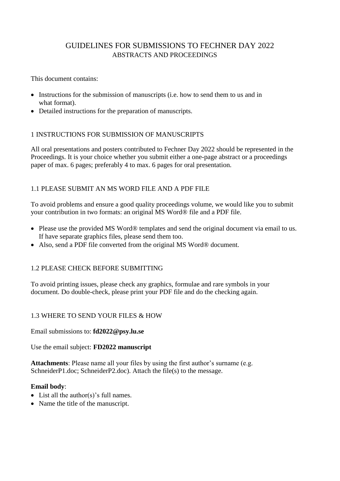# GUIDELINES FOR SUBMISSIONS TO FECHNER DAY 2022 ABSTRACTS AND PROCEEDINGS

This document contains:

- Instructions for the submission of manuscripts (i.e. how to send them to us and in what format).
- Detailed instructions for the preparation of manuscripts.

# 1 INSTRUCTIONS FOR SUBMISSION OF MANUSCRIPTS

All oral presentations and posters contributed to Fechner Day 2022 should be represented in the Proceedings. It is your choice whether you submit either a one-page abstract or a proceedings paper of max. 6 pages; preferably 4 to max. 6 pages for oral presentation.

# 1.1 PLEASE SUBMIT AN MS WORD FILE AND A PDF FILE

To avoid problems and ensure a good quality proceedings volume, we would like you to submit your contribution in two formats: an original MS Word® file and a PDF file.

- Please use the provided MS Word® templates and send the original document via email to us. If have separate graphics files, please send them too.
- Also, send a PDF file converted from the original MS Word® document.

# 1.2 PLEASE CHECK BEFORE SUBMITTING

To avoid printing issues, please check any graphics, formulae and rare symbols in your document. Do double-check, please print your PDF file and do the checking again.

# 1.3 WHERE TO SEND YOUR FILES & HOW

Email submissions to: **fd2022@psy.lu.se**

Use the email subject: **FD2022 manuscript**

**Attachments**: Please name all your files by using the first author's surname (e.g. SchneiderP1.doc; SchneiderP2.doc). Attach the file(s) to the message.

### **Email body**:

- List all the author(s)'s full names.
- Name the title of the manuscript.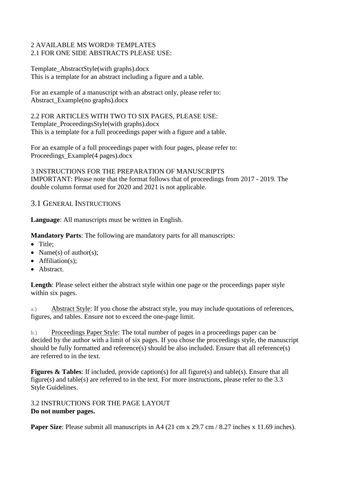### 2 AVAILABLE MS WORD® TEMPLATES 2.1 FOR ONE SIDE ABSTRACTS PLEASE USE:

#### Template\_AbstractStyle(with graphs).docx This is a template for an abstract including a figure and a table.

For an example of a manuscript with an abstract only, please refer to: Abstract\_Example(no graphs).docx

2.2 FOR ARTICLES WITH TWO TO SIX PAGES, PLEASE USE: Template\_ProceedingsStyle(with graphs).docx This is a template for a full proceedings paper with a figure and a table.

For an example of a full proceedings paper with four pages, please refer to: Proceedings\_Example(4 pages).docx

3 INSTRUCTIONS FOR THE PREPARATION OF MANUSCRIPTS IMPORTANT: Please note that the format follows that of proceedings from 2017 - 2019. The double column format used for 2020 and 2021 is not applicable.

# 3.1 GENERAL INSTRUCTIONS

**Language**: All manuscripts must be written in English.

**Mandatory Parts**: The following are mandatory parts for all manuscripts:

- Title:
- Name(s) of author(s);
- $\bullet$  Affiliation(s):
- Abstract.

**Length**: Please select either the abstract style within one page or the proceedings paper style within six pages.

a.) Abstract Style: If you chose the abstract style, you may include quotations of references, figures, and tables. Ensure not to exceed the one-page limit.

b.) Proceedings Paper Style: The total number of pages in a proceedings paper can be decided by the author with a limit of six pages. If you chose the proceedings style, the manuscript should be fully formatted and reference(s) should be also included. Ensure that all reference(s) are referred to in the text.

**Figures & Tables**: If included, provide caption(s) for all figure(s) and table(s). Ensure that all figure(s) and table(s) are referred to in the text. For more instructions, please refer to the 3.3 Style Guidelines.

3.2 INSTRUCTIONS FOR THE PAGE LAYOUT **Do not number pages.**

**Paper Size**: Please submit all manuscripts in A4 (21 cm x 29.7 cm / 8.27 inches x 11.69 inches).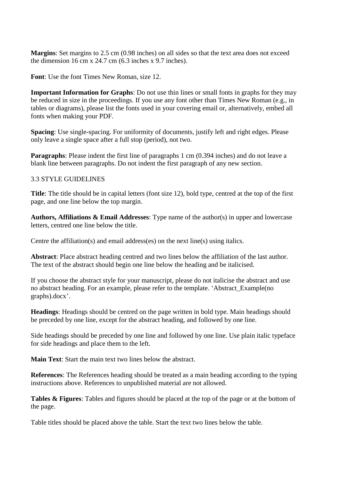**Margins**: Set margins to 2.5 cm (0.98 inches) on all sides so that the text area does not exceed the dimension 16 cm x 24.7 cm (6.3 inches x 9.7 inches).

**Font**: Use the font Times New Roman, size 12.

**Important Information for Graphs**: Do not use thin lines or small fonts in graphs for they may be reduced in size in the proceedings. If you use any font other than Times New Roman (e.g., in tables or diagrams), please list the fonts used in your covering email or, alternatively, embed all fonts when making your PDF.

**Spacing**: Use single-spacing. For uniformity of documents, justify left and right edges. Please only leave a single space after a full stop (period), not two.

**Paragraphs**: Please indent the first line of paragraphs 1 cm (0.394 inches) and do not leave a blank line between paragraphs. Do not indent the first paragraph of any new section.

#### 3.3 STYLE GUIDELINES

**Title**: The title should be in capital letters (font size 12), bold type, centred at the top of the first page, and one line below the top margin.

**Authors, Affiliations & Email Addresses**: Type name of the author(s) in upper and lowercase letters, centred one line below the title.

Centre the affiliation(s) and email address(es) on the next line(s) using italics.

**Abstract**: Place abstract heading centred and two lines below the affiliation of the last author. The text of the abstract should begin one line below the heading and be italicised.

If you choose the abstract style for your manuscript, please do not italicise the abstract and use no abstract heading. For an example, please refer to the template. 'Abstract\_Example(no graphs).docx'.

**Headings**: Headings should be centred on the page written in bold type. Main headings should be preceded by one line, except for the abstract heading, and followed by one line.

Side headings should be preceded by one line and followed by one line. Use plain italic typeface for side headings and place them to the left.

**Main Text**: Start the main text two lines below the abstract.

**References**: The References heading should be treated as a main heading according to the typing instructions above. References to unpublished material are not allowed.

**Tables & Figures**: Tables and figures should be placed at the top of the page or at the bottom of the page.

Table titles should be placed above the table. Start the text two lines below the table.